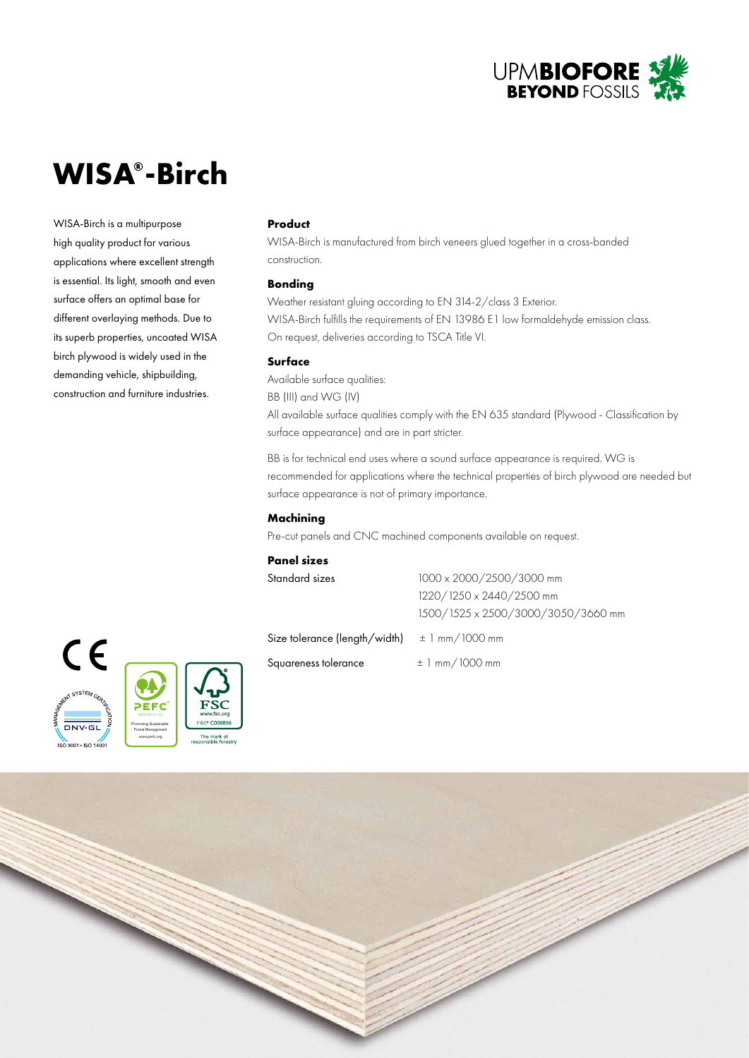

# **WISA® -Birch**

WISA-Birch is a multipurpose high quality product for various applications where excellent strength is essential. Its light, smooth and even surface offers an optimal base for different overlaying methods. Due to its superb properties, uncoated WISA birch plywood is widely used in the demanding vehicle, shipbuilding, construction and furniture industries.

## **Product**

WISA-Birch is manufactured from birch veneers glued together in a cross-banded construction.

### **Bonding**

Weather resistant gluing according to EN 314-2/class 3 Exterior. WISA-Birch fulfills the requirements of EN 13986 E1 low formaldehyde emission class. On request, deliveries according to TSCA Title VI.

# **Surface**

Available surface qualities: BB (III) and WG (IV) All available surface qualities comply with the EN 635 standard (Plywood - Classification by surface appearance) and are in part stricter.

BB is for technical end uses where a sound surface appearance is required. WG is recommended for applications where the technical properties of birch plywood are needed but surface appearance is not of primary importance.

# **Machining**

Pre-cut panels and CNC machined components available on request.

## **Panel sizes**

| Standard sizes                | 1000 x 2000/2500/3000 mm           |  |
|-------------------------------|------------------------------------|--|
|                               | 1220/1250 x 2440/2500 mm           |  |
|                               | 1500/1525 x 2500/3000/3050/3660 mm |  |
| Size tolerance (length/width) | $\pm$ 1 mm/1000 mm                 |  |

Squareness tolerance  $\pm 1$  mm/1000 mm